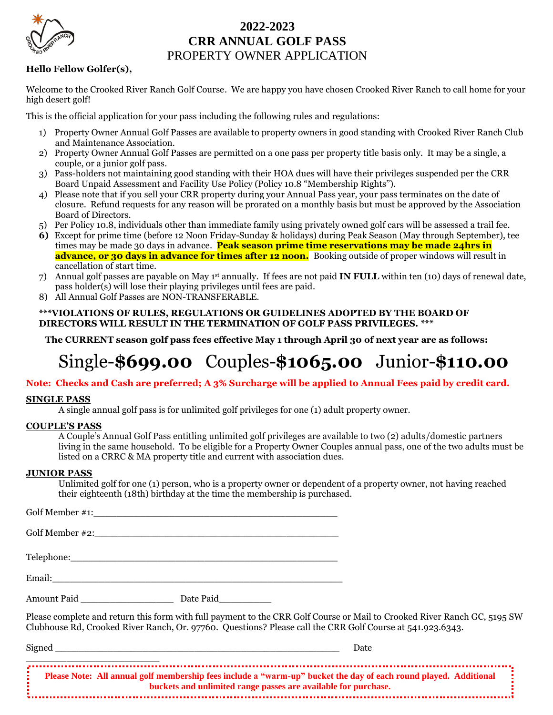

### **2022-2023 CRR ANNUAL GOLF PASS**  PROPERTY OWNER APPLICATION

#### **Hello Fellow Golfer(s),**

Welcome to the Crooked River Ranch Golf Course. We are happy you have chosen Crooked River Ranch to call home for your high desert golf!

This is the official application for your pass including the following rules and regulations:

- 1) Property Owner Annual Golf Passes are available to property owners in good standing with Crooked River Ranch Club and Maintenance Association.
- 2) Property Owner Annual Golf Passes are permitted on a one pass per property title basis only. It may be a single, a couple, or a junior golf pass.
- 3) Pass-holders not maintaining good standing with their HOA dues will have their privileges suspended per the CRR Board Unpaid Assessment and Facility Use Policy (Policy 10.8 "Membership Rights").
- 4) Please note that if you sell your CRR property during your Annual Pass year, your pass terminates on the date of closure. Refund requests for any reason will be prorated on a monthly basis but must be approved by the Association Board of Directors.
- 5) Per Policy 10.8, individuals other than immediate family using privately owned golf cars will be assessed a trail fee.
- **6)** Except for prime time (before 12 Noon Friday-Sunday & holidays) during Peak Season (May through September), tee times may be made 30 days in advance. **Peak season prime time reservations may be made 24hrs in advance, or 30 days in advance for times after 12 noon.** Booking outside of proper windows will result in cancellation of start time.
- 7) Annual golf passes are payable on May 1st annually. If fees are not paid **IN FULL** within ten (10) days of renewal date, pass holder(s) will lose their playing privileges until fees are paid.
- 8) All Annual Golf Passes are NON-TRANSFERABLE.

#### **\*\*\*VIOLATIONS OF RULES, REGULATIONS OR GUIDELINES ADOPTED BY THE BOARD OF DIRECTORS WILL RESULT IN THE TERMINATION OF GOLF PASS PRIVILEGES. \*\*\***

**The CURRENT season golf pass fees effective May 1 through April 30 of next year are as follows:**

# Single-**\$699.00** Couples-**\$1065.00** Junior-**\$110.00**

#### **Note: Checks and Cash are preferred; A 3% Surcharge will be applied to Annual Fees paid by credit card.**

#### **SINGLE PASS**

A single annual golf pass is for unlimited golf privileges for one (1) adult property owner.

#### **COUPLE'S PASS**

A Couple's Annual Golf Pass entitling unlimited golf privileges are available to two (2) adults/domestic partners living in the same household. To be eligible for a Property Owner Couples annual pass, one of the two adults must be listed on a CRRC & MA property title and current with association dues.

#### **JUNIOR PASS**

Unlimited golf for one (1) person, who is a property owner or dependent of a property owner, not having reached their eighteenth (18th) birthday at the time the membership is purchased.

Golf Member #1: Golf Member  $\#2$ : Telephone:\_\_\_\_\_\_\_\_\_\_\_\_\_\_\_\_\_\_\_\_\_\_\_\_\_\_\_\_\_\_\_\_\_\_\_\_\_\_\_\_\_\_\_\_\_\_ Email:\_\_\_\_\_\_\_\_\_\_\_\_\_\_\_\_\_\_\_\_\_\_\_\_\_\_\_\_\_\_\_\_\_\_\_\_\_\_\_\_\_\_\_\_\_\_\_\_\_\_ Amount Paid **Date Paid** Please complete and return this form with full payment to the CRR Golf Course or Mail to Crooked River Ranch GC, 5195 SW Clubhouse Rd, Crooked River Ranch, Or. 97760. Questions? Please call the CRR Golf Course at 541.923.6343. Signed \_\_\_\_\_\_\_\_\_\_\_\_\_\_\_\_\_\_\_\_\_\_\_\_\_\_\_\_\_\_\_\_\_\_\_\_\_\_\_\_\_\_\_\_\_\_\_\_\_ Date

\_\_\_\_\_\_\_\_\_\_\_\_\_\_\_\_\_\_\_\_\_\_\_ **Please Note: All annual golf membership fees include a "warm-up" bucket the day of each round played. Additional buckets and unlimited range passes are available for purchase.**